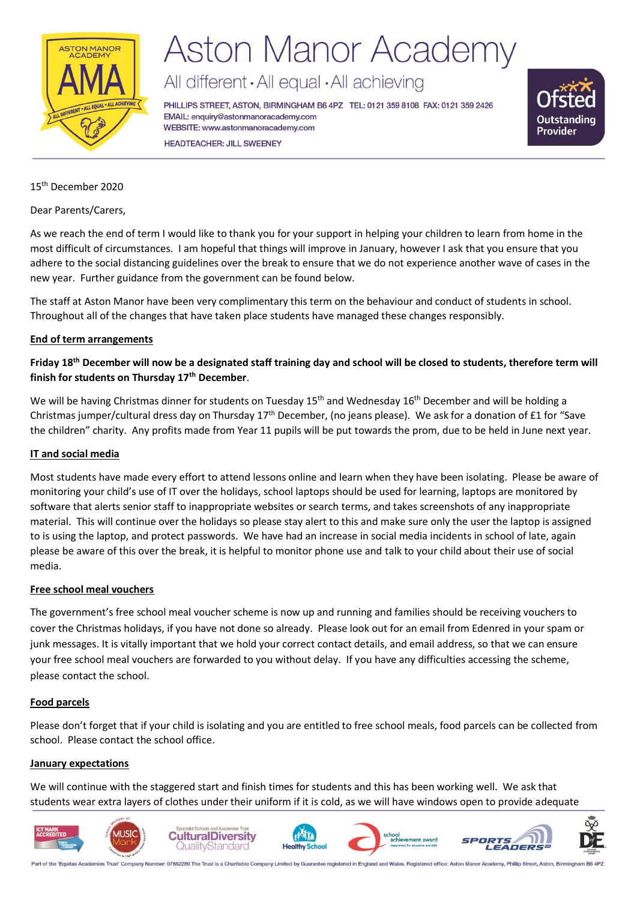

## **Aston Manor Academy**

All different · All equal · All achieving

PHILLIPS STREET, ASTON, BIRMINGHAM B6 4PZ TEL: 0121 359 8108 FAX: 0121 359 2426 EMAIL: enquiry@astonmanoracademy.com WEBSITE: www.astonmanoracademy.com **HEADTEACHER: JILL SWEENEY** 



#### 15th December 2020

Dear Parents/Carers,

As we reach the end of term I would like to thank you for your support in helping your children to learn from home in the most difficult of circumstances. I am hopeful that things will improve in January, however I ask that you ensure that you adhere to the social distancing guidelines over the break to ensure that we do not experience another wave of cases in the new year. Further guidance from the government can be found below.

The staff at Aston Manor have been very complimentary this term on the behaviour and conduct of students in school. Throughout all of the changes that have taken place students have managed these changes responsibly.

#### **End of term arrangements**

**Friday 18th December will now be a designated staff training day and school will be closed to students, therefore term will finish for students on Thursday 17th December**.

We will be having Christmas dinner for students on Tuesday 15<sup>th</sup> and Wednesday 16<sup>th</sup> December and will be holding a Christmas jumper/cultural dress day on Thursday 17th December, (no jeans please). We ask for a donation of £1 for "Save the children" charity. Any profits made from Year 11 pupils will be put towards the prom, due to be held in June next year.

#### **IT and social media**

Most students have made every effort to attend lessons online and learn when they have been isolating. Please be aware of monitoring your child's use of IT over the holidays, school laptops should be used for learning, laptops are monitored by software that alerts senior staff to inappropriate websites or search terms, and takes screenshots of any inappropriate material. This will continue over the holidays so please stay alert to this and make sure only the user the laptop is assigned to is using the laptop, and protect passwords. We have had an increase in social media incidents in school of late, again please be aware of this over the break, it is helpful to monitor phone use and talk to your child about their use of social media.

#### **Free school meal vouchers**

The government's free school meal voucher scheme is now up and running and families should be receiving vouchers to cover the Christmas holidays, if you have not done so already. Please look out for an email from Edenred in your spam or junk messages. It is vitally important that we hold your correct contact details, and email address, so that we can ensure your free school meal vouchers are forwarded to you without delay. If you have any difficulties accessing the scheme, please contact the school.

#### **Food parcels**

Please don't forget that if your child is isolating and you are entitled to free school meals, food parcels can be collected from school. Please contact the school office.

#### **January expectations**

We will continue with the staggered start and finish times for students and this has been working well. We ask that students wear extra layers of clothes under their uniform if it is cold, as we will have windows open to provide adequate



Part of the 'Equitas Academies Trust' Company Number: 07662289 The Trust is a Charitable Company Limited by Guarantee registered in England and Wales. Registered office: Aston Manor Academy, Phillip Street, Aston, Birmingh